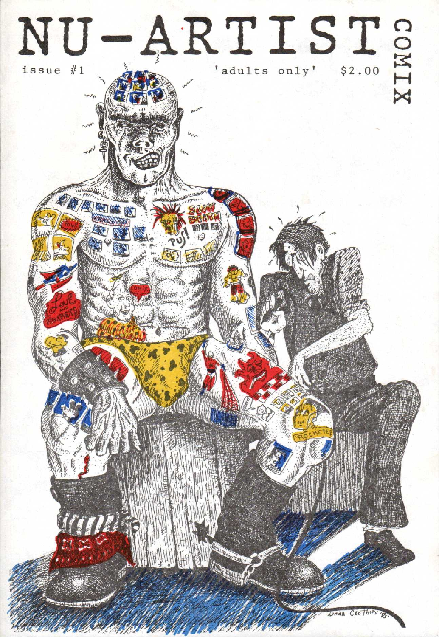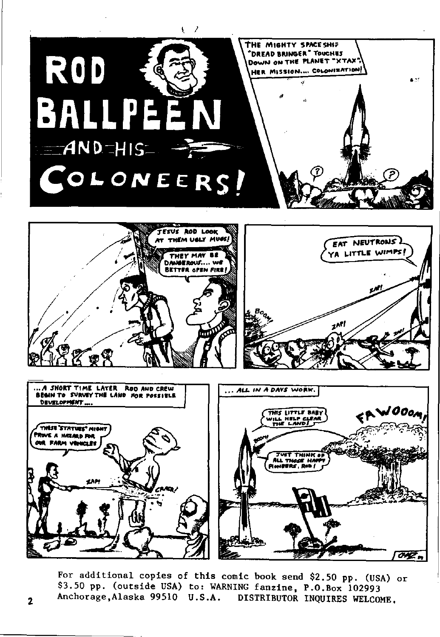

For additional copies of this comic book send \$2.50 pp. (USA) or \$3.50 pp. (outside USA) to: WARNING fanzine, P.O.Box 102993 Anchorage, Alaska 99510 U.S.A. DISTRIBUTOR INQUIRES WELCOME.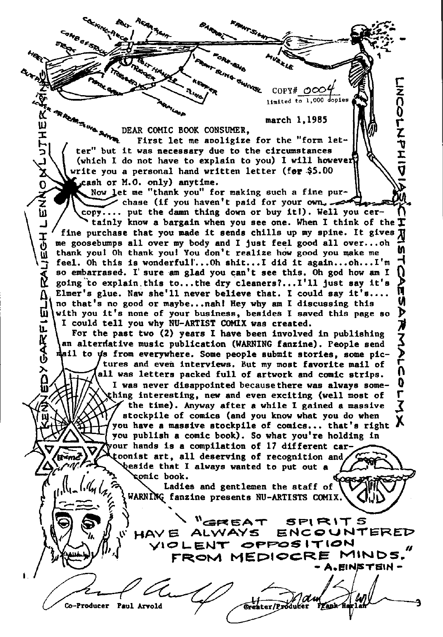CaNBars<sub>RA</sub>  $\mathbf{e}_i$ i•n. - - employee the contract of the contract of the contract of the contract of the contract of the contract of the<br>The contract of the contract of the contract of the contract of the contract of the contract of the contract o<br>  $\frac{1}{2}$   $\frac{1}{2}$   $\frac{1}{2}$   $\frac{1}{2}$   $\frac{1}{2}$   $\frac{1}{2}$   $\frac{1}{2}$   $\frac{1}{2}$   $\frac{1}{2}$   $\frac{1}{2}$   $\frac{1}{2}$   $\frac{1}{2}$ このりててきこ limited to  $1,000$  dopie HE<br>H march 1,1985 DEAR COMIC BOOK CONSUMER. First let me aooligize for the "form let- $\frac{1}{2}$  ( ter" but it was necessary due to the circumstances  $\begin{pmatrix} 1 & 1 & 1 \\ 1 & 1 & 1 \\ 1 & 1 & 1 \end{pmatrix}$ (which I do not have to explain to you) I will however ኔ<br>0 write you a personal hand written letter (for \$5.00 ash or M.O. only) anytime. Now let me "thank you" for making such a fine pur-Now let me "thank you" for making such a fine purpose (if you haven't paid for your own... hi / \copy.... put the damn thing down or buy it!). Well you cer-<br>Limity know a bargain when you see one. When I think of t 'tainly know a bargain when you see one. When I think of the  $I\!I$ The purchase that you made it sends chills up my spine. It gives  $\overline{A}$  me goosebumps all over my body and I just feel good all over...oh  $\overline{B}$  thank you! Oh thank you! You don't realize how good you make me<br>Theel. O me goosebumps all over my body and I just feel good all over...oh m thank you! Oh thank you! You don't realize how good you make me feel. Oh this is wonderfull...Oh shit...I did it again...oh...I'm  $\bigcap$  so embarrased. I' sure am glad you can't see this. Oh god how am I  $\bigcap$ so embarrased. I' sure am glad you can't see this. Oh god how am I going to explain, this to... the dry cleaners?... I'll just say it's  $\Lambda$ , Elmer's glue. Naw she'll never believe that. I could say it's....  $\prod_{i=1}^{n}$  no that's no good or maybe...nah! Hey why am I discussing this  $\cup$  U with you it's none of your business, besides I saved this page so  $\triangleright$ with you it's none of your business, besides I saved this page so I could tell you why NU-ARTIST COMIX was created.  $\mathbf{u}$ For the past two (2) years I have been involved in publishing **IKK**<br>G an alterdative music publication (WABNINC fanzine). People send mail to ds from everywhere. Some people submit stories, some pictures and even interviews. But my most favorite mail of  $\lambda$ all was letters packed full of artwork and comic strips.  $\bigcap$ <br>I was never disappointed because there was sluave some- $\widetilde{\mathbf{a}}$ I was never disappointed because there was always some- U thing interesting, new and even exciting (well most of the time). Anyway after a while I gained a massive stockpile of comics (and you know what you do when you have a massive stockpile of comics... that's right X you publish a comic book). So what you're holding in our hands is a compilation of 11 different car toonist art, all deserving of recognition and 'eside that I always wanted to put out a **comic book.** Ladies and gentlemen the staff of WARNING fanzine presents NU-ARTISTS COMIX.  $\simeq \simeq$  .  $\%$ HAVE ALWAYS ENCOUNT **ENCOUNTERED** ytoLENT OPPOSITION FROM MEDIOCRE MINDS.  $NSE$ TEIN -Co-Producer Paul Arvold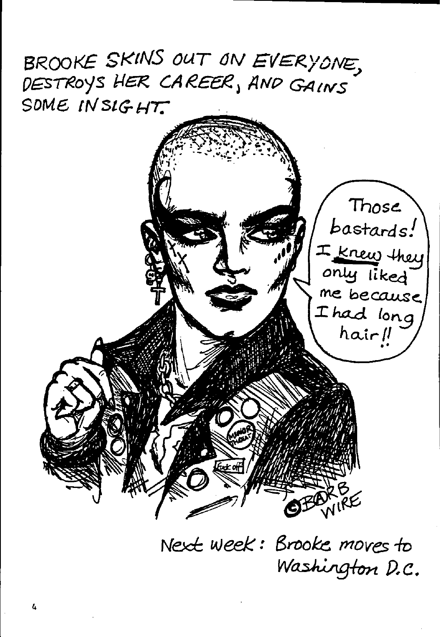BROOKE SKINS OUT ON EVERYONE, DESTROYS HER CAREER, AND GAINS SOME INSIGHT.



Next week: Brooke moves to Washington D.C.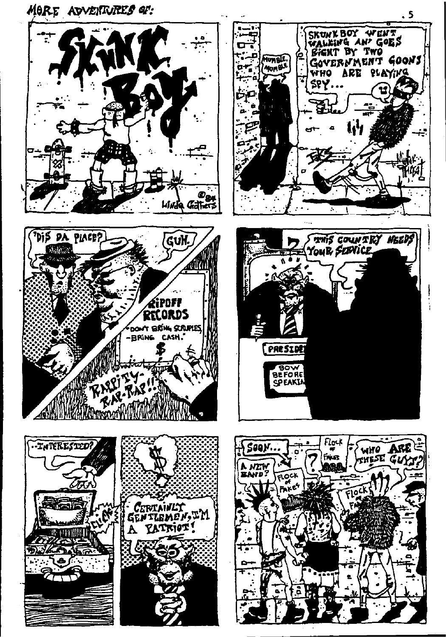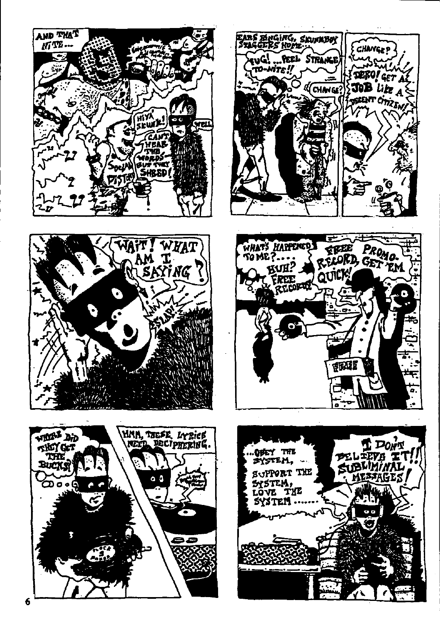









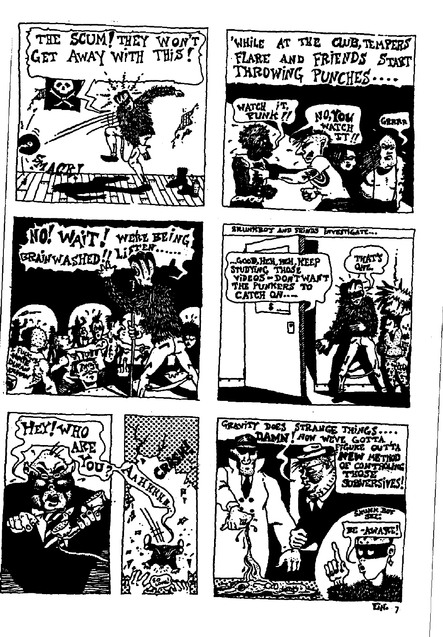



tkat<br>Qvl

GRRAR

OF CONTROLING

**AMIR 29** 

**BE-AWARE!** 

THOSE Sobnersiyes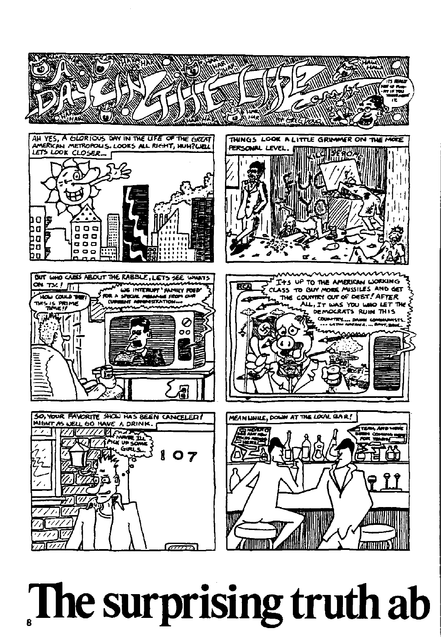

## The surprising truth ab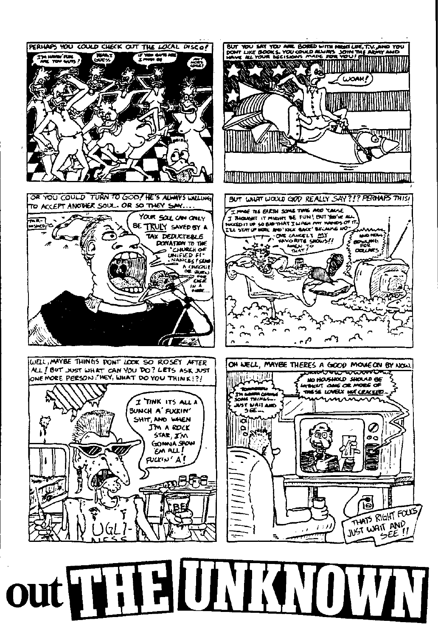



PERHAPS YOU COULD CHECK OUT THE LOCAL DISCO! WA.

ЛŦ.

was de

**WOAH!**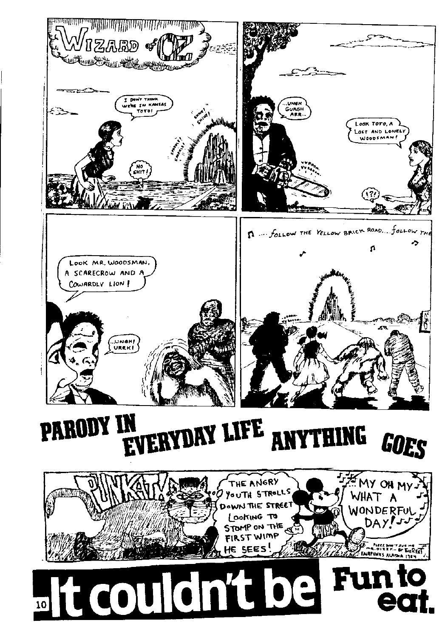

PARODY IN EVERYDAY LIFE NYTHING GOES A

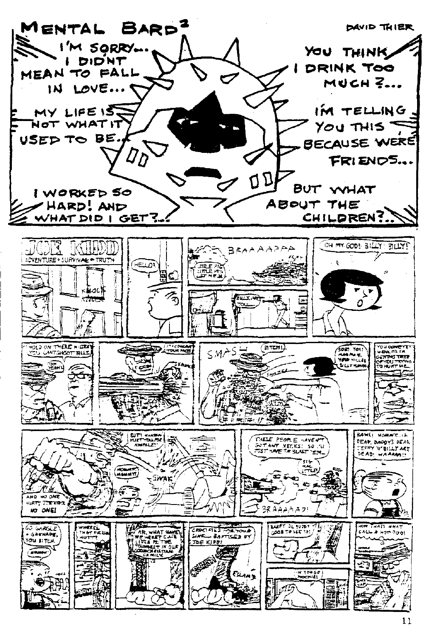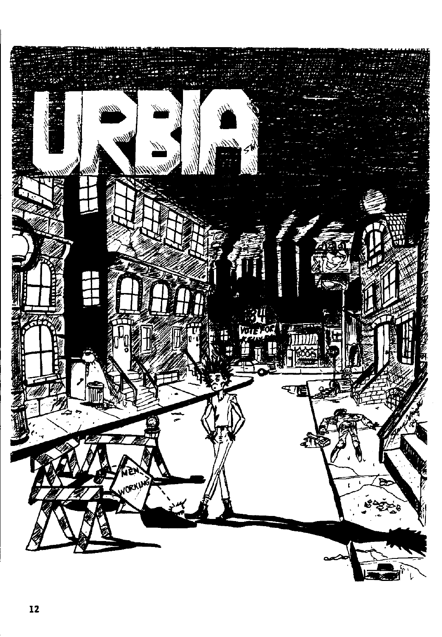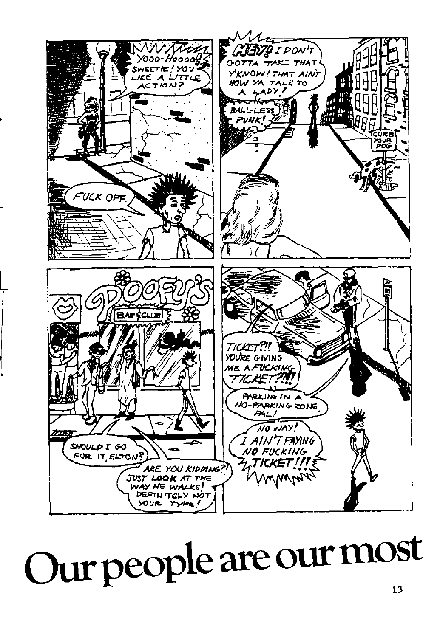

## Our people are our most  $13$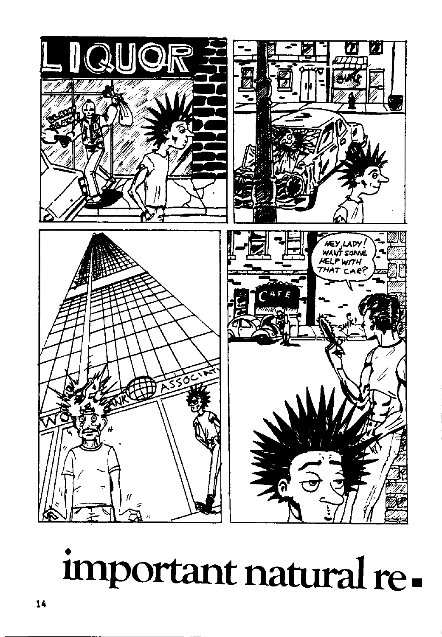

## important natural re-